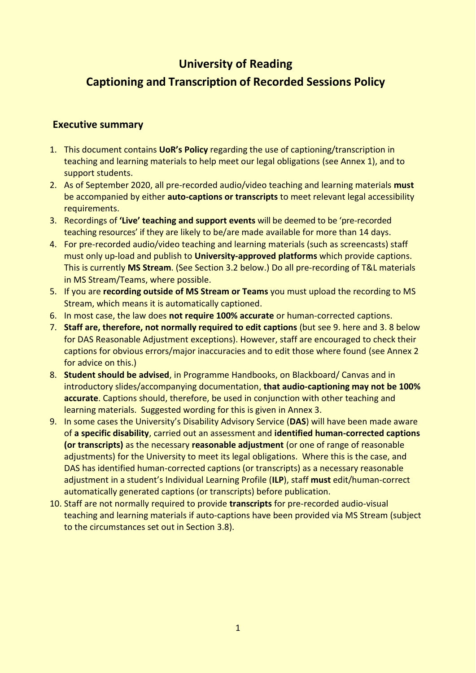# **University of Reading Captioning and Transcription of Recorded Sessions Policy**

### **Executive summary**

- 1. This document contains **UoR's Policy** regarding the use of captioning/transcription in teaching and learning materials to help meet our legal obligations (see Annex 1), and to support students.
- 2. As of September 2020, all pre-recorded audio/video teaching and learning materials **must**  be accompanied by either **auto-captions or transcripts** to meet relevant legal accessibility requirements.
- 3. Recordings of **'Live' teaching and support events** will be deemed to be 'pre-recorded teaching resources' if they are likely to be/are made available for more than 14 days.
- 4. For pre-recorded audio/video teaching and learning materials (such as screencasts) staff must only up-load and publish to **University-approved platforms** which provide captions. This is currently **MS Stream**. (See Section 3.2 below.) Do all pre-recording of T&L materials in MS Stream/Teams, where possible.
- 5. If you are **recording outside of MS Stream or Teams** you must upload the recording to MS Stream, which means it is automatically captioned.
- 6. In most case, the law does **not require 100% accurate** or human-corrected captions.
- 7. **Staff are, therefore, not normally required to edit captions** (but see 9. here and 3. 8 below for DAS Reasonable Adjustment exceptions). However, staff are encouraged to check their captions for obvious errors/major inaccuracies and to edit those where found (see Annex 2 for advice on this.)
- 8. **Student should be advised**, in Programme Handbooks, on Blackboard/ Canvas and in introductory slides/accompanying documentation, **that audio-captioning may not be 100% accurate**. Captions should, therefore, be used in conjunction with other teaching and learning materials. Suggested wording for this is given in Annex 3.
- 9. In some cases the University's Disability Advisory Service (**DAS**) will have been made aware of **a specific disability**, carried out an assessment and **identified human-corrected captions (or transcripts)** as the necessary **reasonable adjustment** (or one of range of reasonable adjustments) for the University to meet its legal obligations. Where this is the case, and DAS has identified human-corrected captions (or transcripts) as a necessary reasonable adjustment in a student's Individual Learning Profile (**ILP**), staff **must** edit/human-correct automatically generated captions (or transcripts) before publication.
- 10. Staff are not normally required to provide **transcripts** for pre-recorded audio-visual teaching and learning materials if auto-captions have been provided via MS Stream (subject to the circumstances set out in Section 3.8).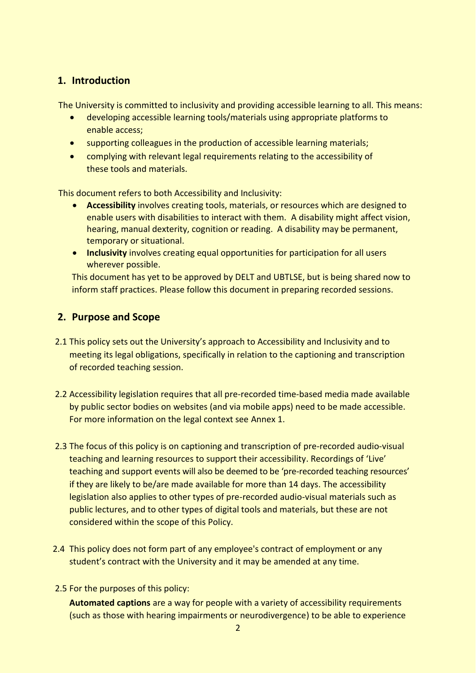# **1. Introduction**

The University is committed to inclusivity and providing accessible learning to all. This means:

- developing accessible learning tools/materials using appropriate platforms to enable access;
- supporting colleagues in the production of accessible learning materials;
- complying with relevant legal requirements relating to the accessibility of these tools and materials.

This document refers to both Accessibility and Inclusivity:

- **Accessibility** involves creating tools, materials, or resources which are designed to enable users with disabilities to interact with them. A disability might affect vision, hearing, manual dexterity, cognition or reading. A disability may be permanent, temporary or situational.
- **Inclusivity** involves creating equal opportunities for participation for all users wherever possible.

This document has yet to be approved by DELT and UBTLSE, but is being shared now to inform staff practices. Please follow this document in preparing recorded sessions.

## **2. Purpose and Scope**

- 2.1 This policy sets out the University's approach to Accessibility and Inclusivity and to meeting its legal obligations, specifically in relation to the captioning and transcription of recorded teaching session.
- 2.2 Accessibility legislation requires that all pre-recorded time-based media made available by public sector bodies on websites (and via mobile apps) need to be made accessible. For more information on the legal context see Annex 1.
- 2.3 The focus of this policy is on captioning and transcription of pre-recorded audio-visual teaching and learning resources to support their accessibility. Recordings of 'Live' teaching and support events will also be deemed to be 'pre-recorded teaching resources' if they are likely to be/are made available for more than 14 days. The accessibility legislation also applies to other types of pre-recorded audio-visual materials such as public lectures, and to other types of digital tools and materials, but these are not considered within the scope of this Policy.
- 2.4 This policy does not form part of any employee's contract of employment or any student's contract with the University and it may be amended at any time.
- 2.5 For the purposes of this policy:

**Automated captions** are a way for people with a variety of accessibility requirements (such as those with hearing impairments or neurodivergence) to be able to experience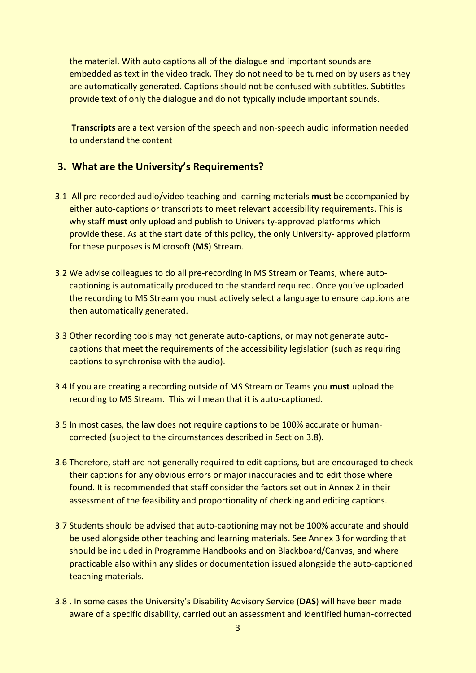the material. With auto captions all of the dialogue and important sounds are embedded as text in the video track. They do not need to be turned on by users as they are automatically generated. Captions should not be confused with subtitles. Subtitles provide text of only the dialogue and do not typically include important sounds.

**Transcripts** are a text version of the speech and non-speech audio information needed to understand the content

## **3. What are the University's Requirements?**

- 3.1 All pre-recorded audio/video teaching and learning materials **must** be accompanied by either auto-captions or transcripts to meet relevant accessibility requirements. This is why staff **must** only upload and publish to University-approved platforms which provide these. As at the start date of this policy, the only University- approved platform for these purposes is Microsoft (**MS**) Stream.
- 3.2 We advise colleagues to do all pre-recording in MS Stream or Teams, where autocaptioning is automatically produced to the standard required. Once you've uploaded the recording to MS Stream you must actively select a language to ensure captions are then automatically generated.
- 3.3 Other recording tools may not generate auto-captions, or may not generate autocaptions that meet the requirements of the accessibility legislation (such as requiring captions to synchronise with the audio).
- 3.4 If you are creating a recording outside of MS Stream or Teams you **must** upload the recording to MS Stream. This will mean that it is auto-captioned.
- 3.5 In most cases, the law does not require captions to be 100% accurate or humancorrected (subject to the circumstances described in Section 3.8).
- 3.6 Therefore, staff are not generally required to edit captions, but are encouraged to check their captions for any obvious errors or major inaccuracies and to edit those where found. It is recommended that staff consider the factors set out in Annex 2 in their assessment of the feasibility and proportionality of checking and editing captions.
- 3.7 Students should be advised that auto-captioning may not be 100% accurate and should be used alongside other teaching and learning materials. See Annex 3 for wording that should be included in Programme Handbooks and on Blackboard/Canvas, and where practicable also within any slides or documentation issued alongside the auto-captioned teaching materials.
- 3.8 . In some cases the University's Disability Advisory Service (**DAS**) will have been made aware of a specific disability, carried out an assessment and identified human-corrected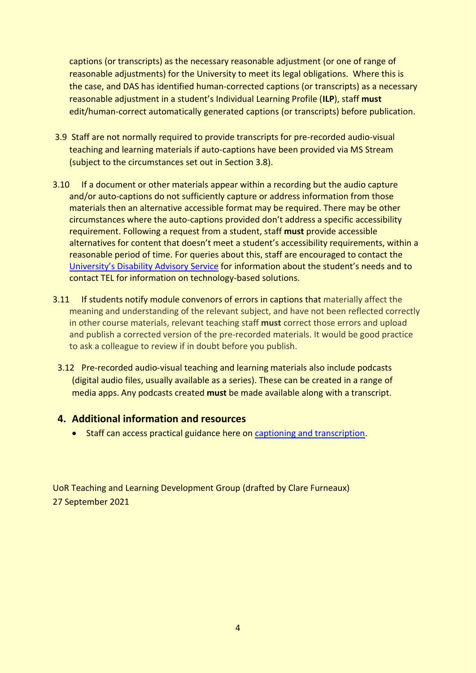captions (or transcripts) as the necessary reasonable adjustment (or one of range of reasonable adjustments) for the University to meet its legal obligations. Where this is the case, and DAS has identified human-corrected captions (or transcripts) as a necessary reasonable adjustment in a student's Individual Learning Profile (**ILP**), staff **must** edit/human-correct automatically generated captions (or transcripts) before publication.

- 3.9 Staff are not normally required to provide transcripts for pre-recorded audio-visual teaching and learning materials if auto-captions have been provided via MS Stream (subject to the circumstances set out in Section 3.8).
- 3.10 If a document or other materials appear within a recording but the audio capture and/or auto-captions do not sufficiently capture or address information from those materials then an alternative accessible format may be required. There may be other circumstances where the auto-captions provided don't address a specific accessibility requirement. Following a request from a student, staff **must** provide accessible alternatives for content that doesn't meet a student's accessibility requirements, within a reasonable period of time. For queries about this, staff are encouraged to contact the [University's Disability](https://www.reading.ac.uk/essentials/Support-And-Wellbeing/Disability/Disability-Advisory-Service) Advisory Service for information about the student's needs and to contact TEL for information on technology-based solutions.
- 3.11 If students notify module convenors of errors in captions that materially affect the meaning and understanding of the relevant subject, and have not been reflected correctly in other course materials, relevant teaching staff **must** correct those errors and upload and publish a corrected version of the pre-recorded materials. It would be good practice to ask a colleague to review if in doubt before you publish.
	- 3.12 Pre-recorded audio-visual teaching and learning materials also include podcasts (digital audio files, usually available as a series). These can be created in a range of media apps. Any podcasts created **must** be made available along with a transcript.

# **4. Additional information and resources**

• Staff can access practical guidance here on [captioning and transcription.](https://sites.reading.ac.uk/tel/online-teaching-toolkits/making-screencasts-for-tl/how-can-i-make-my-screencasts-accessible/why-caption/)

UoR Teaching and Learning Development Group (drafted by Clare Furneaux) 27 September 2021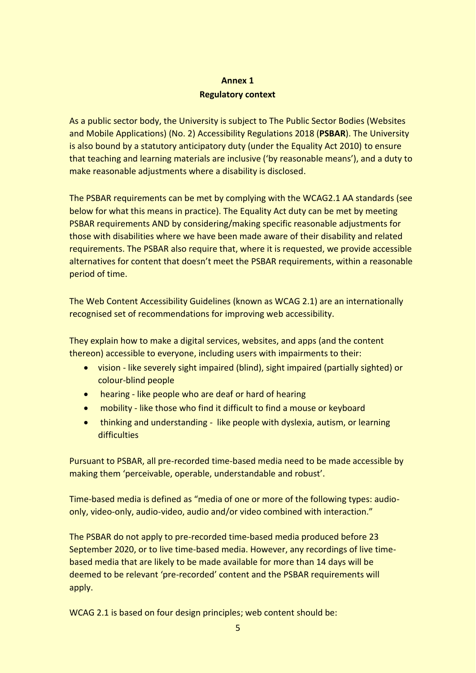# **Annex 1 Regulatory context**

As a public sector body, the University is subject to The Public Sector Bodies (Websites and Mobile Applications) (No. 2) Accessibility Regulations 2018 (**PSBAR**). The University is also bound by a statutory anticipatory duty (under the Equality Act 2010) to ensure that teaching and learning materials are inclusive ('by reasonable means'), and a duty to make reasonable adjustments where a disability is disclosed.

The PSBAR requirements can be met by complying with the WCAG2.1 AA standards (see below for what this means in practice). The Equality Act duty can be met by meeting PSBAR requirements AND by considering/making specific reasonable adjustments for those with disabilities where we have been made aware of their disability and related requirements. The PSBAR also require that, where it is requested, we provide accessible alternatives for content that doesn't meet the PSBAR requirements, within a reasonable period of time.

The Web Content Accessibility Guidelines (known as WCAG 2.1) are an internationally recognised set of recommendations for improving web accessibility.

They explain how to make a digital services, websites, and apps (and the content thereon) accessible to everyone, including users with impairments to their:

- vision like severely sight impaired (blind), sight impaired (partially sighted) or colour-blind people
- hearing like people who are deaf or hard of hearing
- mobility like those who find it difficult to find a mouse or keyboard
- thinking and understanding like people with dyslexia, autism, or learning difficulties

Pursuant to PSBAR, all pre-recorded time-based media need to be made accessible by making them 'perceivable, operable, understandable and robust'.

Time-based media is defined as "media of one or more of the following types: audioonly, video-only, audio-video, audio and/or video combined with interaction."

The PSBAR do not apply to pre-recorded time-based media produced before 23 September 2020, or to live time-based media. However, any recordings of live timebased media that are likely to be made available for more than 14 days will be deemed to be relevant 'pre-recorded' content and the PSBAR requirements will apply.

WCAG 2.1 is based on four design principles; web content should be: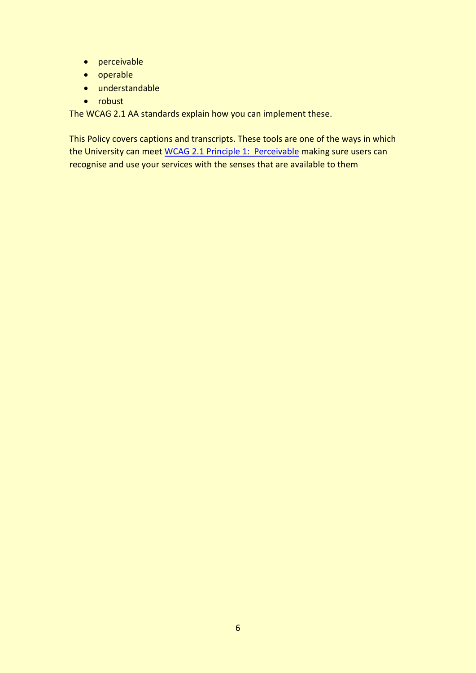- perceivable
- operable
- understandable
- robust

The WCAG 2.1 AA standards explain how you can implement these.

This Policy covers captions and transcripts. These tools are one of the ways in which the University can meet [WCAG 2.1 Principle 1: Perceivable](https://www.w3.org/TR/WCAG21/#perceivable) making sure users can recognise and use your services with the senses that are available to them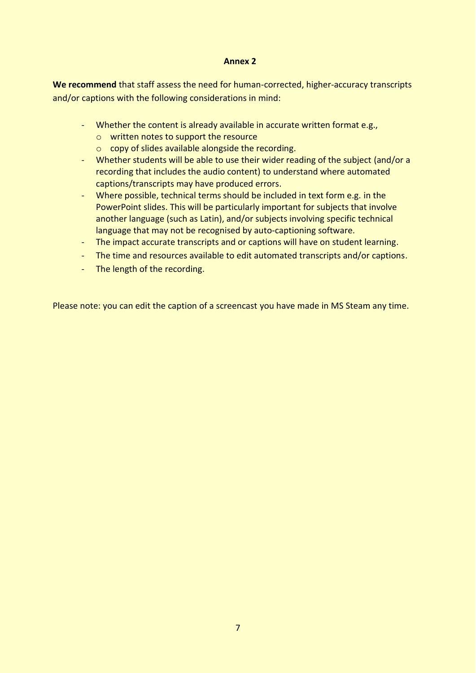#### **Annex 2**

**We recommend** that staff assess the need for human-corrected, higher-accuracy transcripts and/or captions with the following considerations in mind:

- Whether the content is already available in accurate written format e.g.,
	- o written notes to support the resource
	- o copy of slides available alongside the recording.
- Whether students will be able to use their wider reading of the subject (and/or a recording that includes the audio content) to understand where automated captions/transcripts may have produced errors.
- Where possible, technical terms should be included in text form e.g. in the PowerPoint slides. This will be particularly important for subjects that involve another language (such as Latin), and/or subjects involving specific technical language that may not be recognised by auto-captioning software.
- The impact accurate transcripts and or captions will have on student learning.
- The time and resources available to edit automated transcripts and/or captions.
- The length of the recording.

Please note: you can edit the caption of a screencast you have made in MS Steam any time.